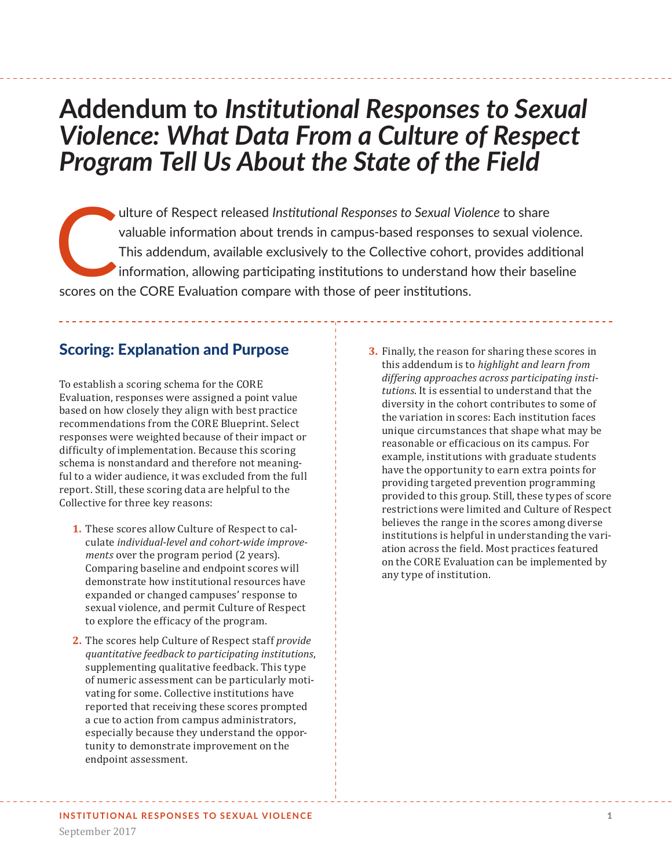# **Addendum to** *Institutional Responses to Sexual Violence: What Data From a Culture of Respect Program Tell Us About the State of the Field*

ulture of Respect released *Institutional Responses to Sexual Violence* to share valuable information about trends in campus-based responses to sexual viol<br>This addendum, available exclusively to the Collective cohort, pro valuable information about trends in campus-based responses to sexual violence. This addendum, available exclusively to the Collective cohort, provides additional information, allowing participating institutions to understand how their baseline scores on the CORE Evaluation compare with those of peer institutions.

### Scoring: Explanation and Purpose

To establish a scoring schema for the CORE Evaluation, responses were assigned a point value based on how closely they align with best practice recommendations from the CORE Blueprint. Select responses were weighted because of their impact or difficulty of implementation. Because this scoring schema is nonstandard and therefore not meaningful to a wider audience, it was excluded from the full report. Still, these scoring data are helpful to the Collective for three key reasons:

- **1.** These scores allow Culture of Respect to calculate *individual-level and cohort-wide improvements* over the program period (2 years). Comparing baseline and endpoint scores will demonstrate how institutional resources have expanded or changed campuses' response to sexual violence, and permit Culture of Respect to explore the efficacy of the program.
- **2.** The scores help Culture of Respect staff *provide quantitative feedback to participating institutions*, supplementing qualitative feedback. This type of numeric assessment can be particularly motivating for some. Collective institutions have reported that receiving these scores prompted a cue to action from campus administrators, especially because they understand the opportunity to demonstrate improvement on the endpoint assessment.
- **3.** Finally, the reason for sharing these scores in this addendum is to *highlight and learn from differing approaches across participating institutions*. It is essential to understand that the diversity in the cohort contributes to some of the variation in scores: Each institution faces unique circumstances that shape what may be reasonable or efficacious on its campus. For example, institutions with graduate students have the opportunity to earn extra points for providing targeted prevention programming provided to this group. Still, these types of score restrictions were limited and Culture of Respect believes the range in the scores among diverse institutions is helpful in understanding the variation across the field. Most practices featured on the CORE Evaluation can be implemented by any type of institution.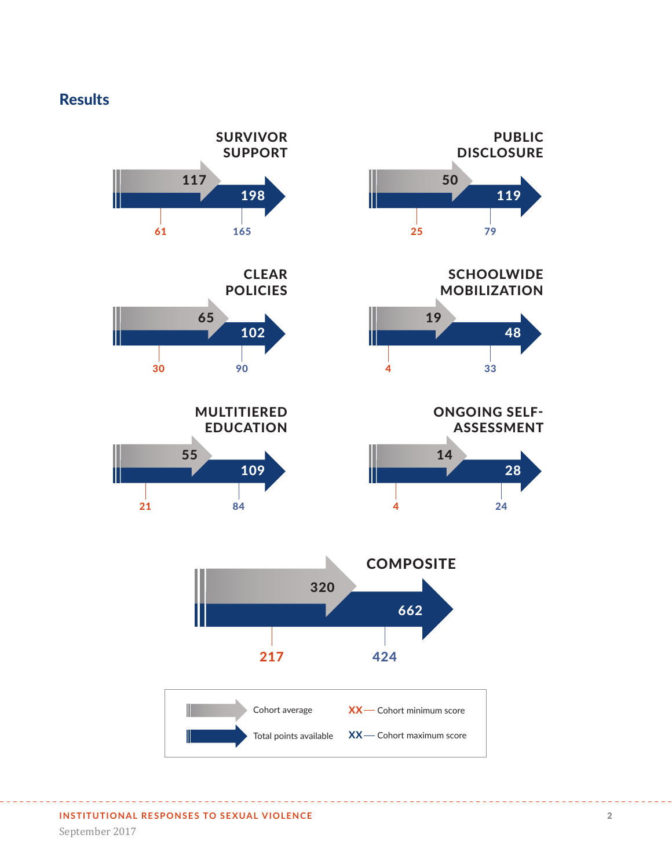## **Results**